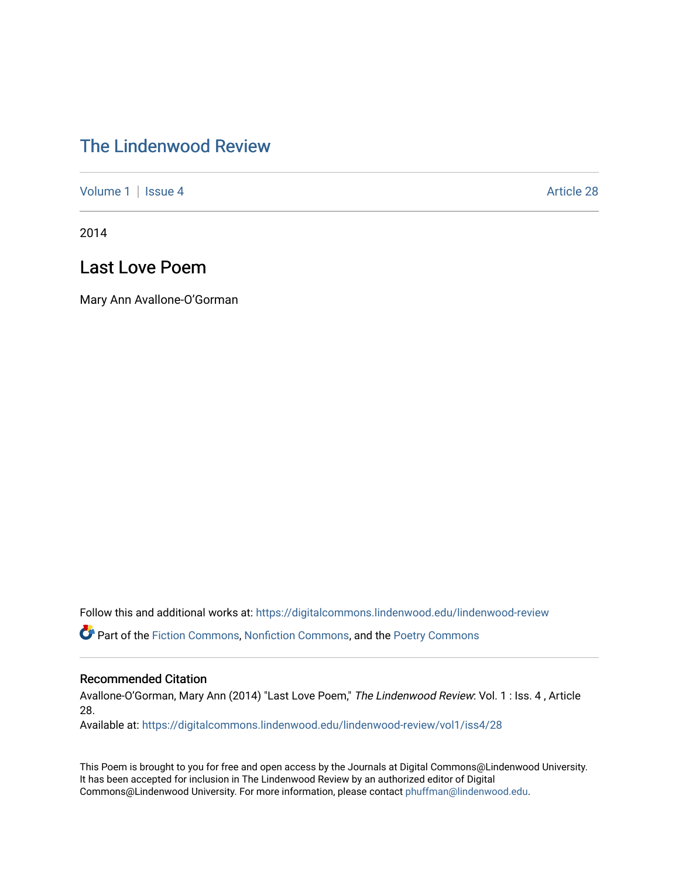## [The Lindenwood Review](https://digitalcommons.lindenwood.edu/lindenwood-review)

[Volume 1](https://digitalcommons.lindenwood.edu/lindenwood-review/vol1) | [Issue 4](https://digitalcommons.lindenwood.edu/lindenwood-review/vol1/iss4) Article 28

2014

## Last Love Poem

Mary Ann Avallone-O'Gorman

Follow this and additional works at: [https://digitalcommons.lindenwood.edu/lindenwood-review](https://digitalcommons.lindenwood.edu/lindenwood-review?utm_source=digitalcommons.lindenwood.edu%2Flindenwood-review%2Fvol1%2Fiss4%2F28&utm_medium=PDF&utm_campaign=PDFCoverPages)

Part of the [Fiction Commons,](http://network.bepress.com/hgg/discipline/1151?utm_source=digitalcommons.lindenwood.edu%2Flindenwood-review%2Fvol1%2Fiss4%2F28&utm_medium=PDF&utm_campaign=PDFCoverPages) [Nonfiction Commons](http://network.bepress.com/hgg/discipline/1152?utm_source=digitalcommons.lindenwood.edu%2Flindenwood-review%2Fvol1%2Fiss4%2F28&utm_medium=PDF&utm_campaign=PDFCoverPages), and the [Poetry Commons](http://network.bepress.com/hgg/discipline/1153?utm_source=digitalcommons.lindenwood.edu%2Flindenwood-review%2Fvol1%2Fiss4%2F28&utm_medium=PDF&utm_campaign=PDFCoverPages)

## Recommended Citation

Avallone-O'Gorman, Mary Ann (2014) "Last Love Poem," The Lindenwood Review: Vol. 1 : Iss. 4 , Article 28.

Available at: [https://digitalcommons.lindenwood.edu/lindenwood-review/vol1/iss4/28](https://digitalcommons.lindenwood.edu/lindenwood-review/vol1/iss4/28?utm_source=digitalcommons.lindenwood.edu%2Flindenwood-review%2Fvol1%2Fiss4%2F28&utm_medium=PDF&utm_campaign=PDFCoverPages)

This Poem is brought to you for free and open access by the Journals at Digital Commons@Lindenwood University. It has been accepted for inclusion in The Lindenwood Review by an authorized editor of Digital Commons@Lindenwood University. For more information, please contact [phuffman@lindenwood.edu](mailto:phuffman@lindenwood.edu).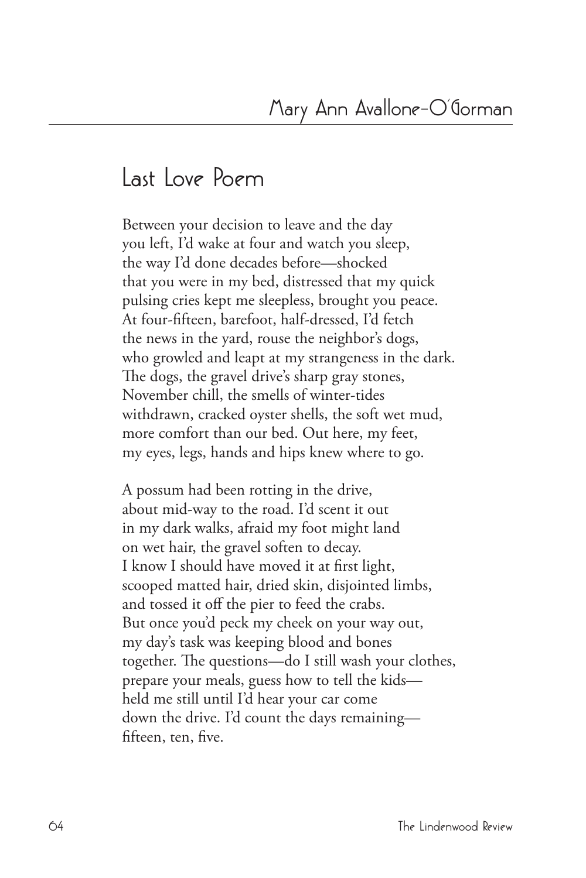## **Last Love Poem**

Between your decision to leave and the day you left, I'd wake at four and watch you sleep, the way I'd done decades before—shocked that you were in my bed, distressed that my quick pulsing cries kept me sleepless, brought you peace. At four-fifteen, barefoot, half-dressed, I'd fetch the news in the yard, rouse the neighbor's dogs, who growled and leapt at my strangeness in the dark. The dogs, the gravel drive's sharp gray stones, November chill, the smells of winter-tides withdrawn, cracked oyster shells, the soft wet mud, more comfort than our bed. Out here, my feet, my eyes, legs, hands and hips knew where to go.

A possum had been rotting in the drive, about mid-way to the road. I'd scent it out in my dark walks, afraid my foot might land on wet hair, the gravel soften to decay. I know I should have moved it at first light, scooped matted hair, dried skin, disjointed limbs, and tossed it off the pier to feed the crabs. But once you'd peck my cheek on your way out, my day's task was keeping blood and bones together. The questions—do I still wash your clothes, prepare your meals, guess how to tell the kids held me still until I'd hear your car come down the drive. I'd count the days remaining fifteen, ten, five.